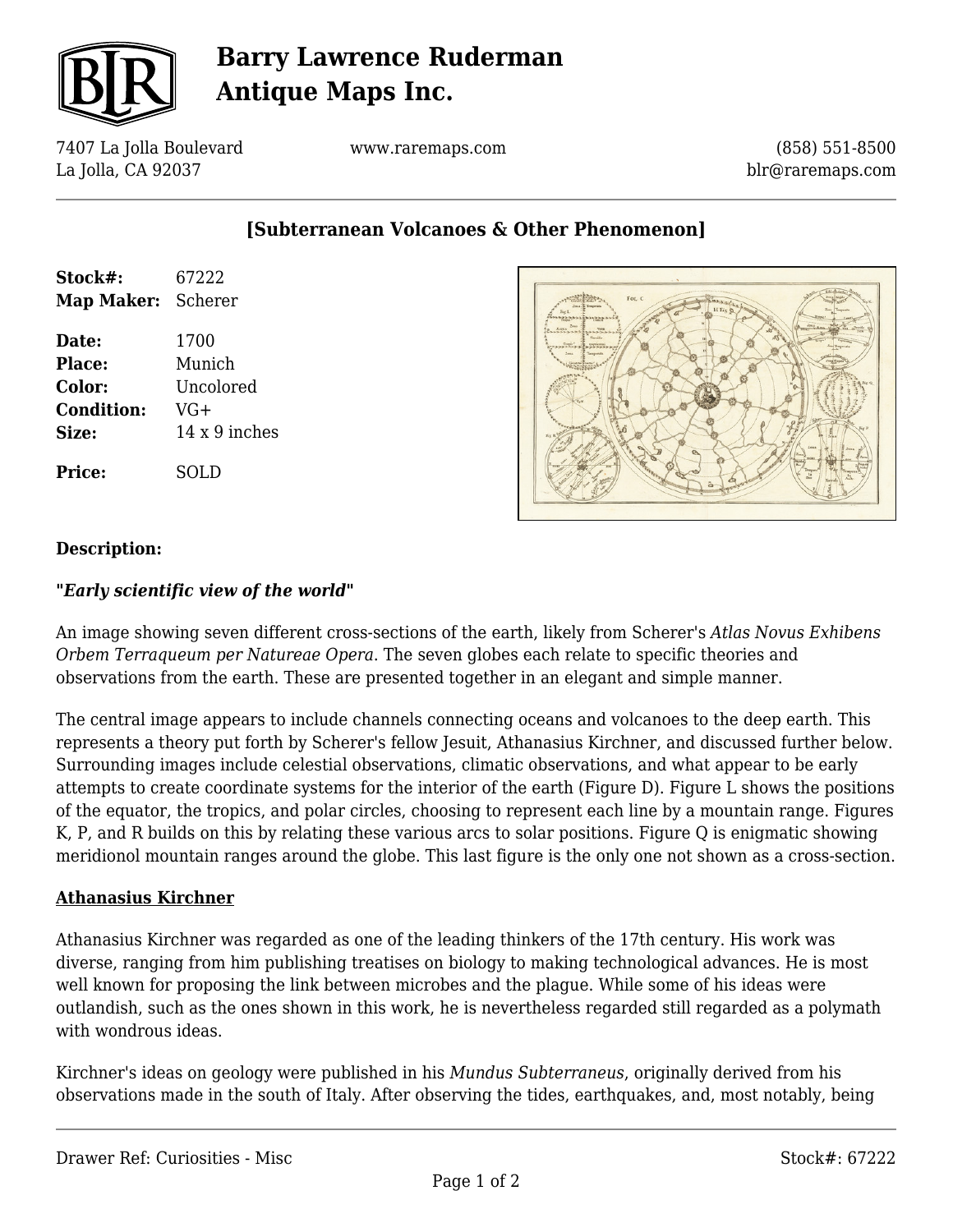

# **Barry Lawrence Ruderman Antique Maps Inc.**

7407 La Jolla Boulevard La Jolla, CA 92037

www.raremaps.com

(858) 551-8500 blr@raremaps.com

**[Subterranean Volcanoes & Other Phenomenon]**

| Stock#:<br>Map Maker: Scherer | 67222                |
|-------------------------------|----------------------|
| Date:                         | 1700                 |
| <b>Place:</b>                 | Munich               |
| <b>Color:</b>                 | Uncolored            |
| <b>Condition:</b>             | VG+                  |
| Size:                         | $14 \times 9$ inches |
| <b>Price:</b>                 | SOLD                 |



### **Description:**

#### *"Early scientific view of the world"*

An image showing seven different cross-sections of the earth, likely from Scherer's *Atlas Novus Exhibens Orbem Terraqueum per Natureae Opera*. The seven globes each relate to specific theories and observations from the earth. These are presented together in an elegant and simple manner.

The central image appears to include channels connecting oceans and volcanoes to the deep earth. This represents a theory put forth by Scherer's fellow Jesuit, Athanasius Kirchner, and discussed further below. Surrounding images include celestial observations, climatic observations, and what appear to be early attempts to create coordinate systems for the interior of the earth (Figure D). Figure L shows the positions of the equator, the tropics, and polar circles, choosing to represent each line by a mountain range. Figures K, P, and R builds on this by relating these various arcs to solar positions. Figure Q is enigmatic showing meridionol mountain ranges around the globe. This last figure is the only one not shown as a cross-section.

#### **Athanasius Kirchner**

Athanasius Kirchner was regarded as one of the leading thinkers of the 17th century. His work was diverse, ranging from him publishing treatises on biology to making technological advances. He is most well known for proposing the link between microbes and the plague. While some of his ideas were outlandish, such as the ones shown in this work, he is nevertheless regarded still regarded as a polymath with wondrous ideas.

Kirchner's ideas on geology were published in his *Mundus Subterraneus*, originally derived from his observations made in the south of Italy. After observing the tides, earthquakes, and, most notably, being